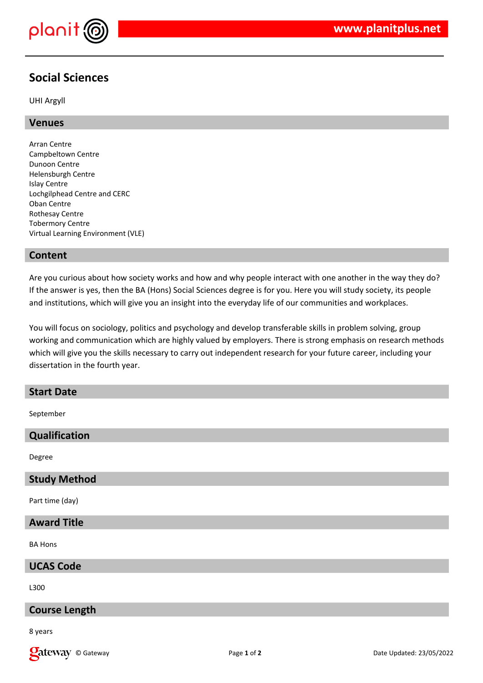

# **Social Sciences**

UHI Argyll

# **Venues**

Arran Centre Campbeltown Centre Dunoon Centre Helensburgh Centre Islay Centre Lochgilphead Centre and CERC Oban Centre Rothesay Centre Tobermory Centre Virtual Learning Environment (VLE)

## **Content**

Are you curious about how society works and how and why people interact with one another in the way they do? If the answer is yes, then the BA (Hons) Social Sciences degree is for you. Here you will study society, its people and institutions, which will give you an insight into the everyday life of our communities and workplaces.

You will focus on sociology, politics and psychology and develop transferable skills in problem solving, group working and communication which are highly valued by employers. There is strong emphasis on research methods which will give you the skills necessary to carry out independent research for your future career, including your dissertation in the fourth year.

# **Start Date**

September

## **Qualification**

Degree

#### **Study Method**

Part time (day)

#### **Award Title**

BA Hons

#### **UCAS Code**

L300

#### **Course Length**

8 years